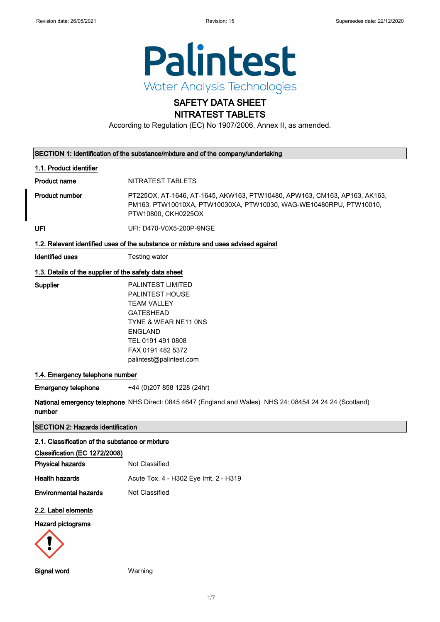

### SAFETY DATA SHEET NITRATEST TABLETS

According to Regulation (EC) No 1907/2006, Annex II, as amended.

| SECTION 1: Identification of the substance/mixture and of the company/undertaking |  |  |
|-----------------------------------------------------------------------------------|--|--|
|-----------------------------------------------------------------------------------|--|--|

#### 1.1. Product identifier

Product name NITRATEST TABLETS

Product number PT225OX, AT-1646, AT-1645, AKW163, PTW10480, APW163, CM163, AP163, AK163, PM163, PTW10010XA, PTW10030XA, PTW10030, WAG-WE10480RPU, PTW10010, PTW10800, CKH0225OX

UFI UFI: D470-V0X5-200P-9NGE

#### 1.2. Relevant identified uses of the substance or mixture and uses advised against

**Identified uses** Testing water

#### 1.3. Details of the supplier of the safety data sheet

| Supplier | <b>PALINTEST LIMITED</b> |
|----------|--------------------------|
|          | <b>PALINTEST HOUSE</b>   |
|          | TFAM VALLEY              |
|          | <b>GATESHEAD</b>         |
|          | TYNE & WEAR NE11 ONS     |
|          | ENGLAND                  |
|          | TEL 0191 491 0808        |
|          | FAX 0191 482 5372        |
|          | palintest@palintest.com  |
|          |                          |

#### 1.4. Emergency telephone number

Emergency telephone +44 (0)207 858 1228 (24hr)

**National emergency telephone** NHS Direct: 0845 4647 (England and Wales) NHS 24: 08454 24 24 24 (Scotland) number

### SECTION 2: Hazards identification

#### 2.1. Classification of the substance or mixture

| Classification (EC 1272/2008) |                |
|-------------------------------|----------------|
| <b>Physical hazards</b>       | Not Classified |

Health hazards **Acute Tox. 4 - H302 Eye Irrit. 2 - H319** 

**Environmental hazards** Not Classified

#### 2.2. Label elements

#### Hazard pictograms



Signal word Warning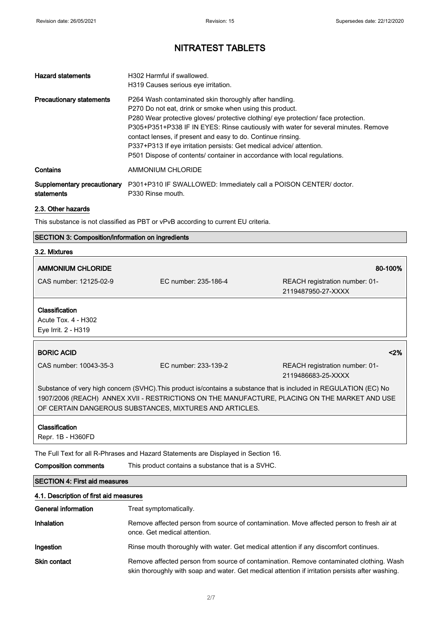| <b>Hazard statements</b>                  | H302 Harmful if swallowed.<br>H319 Causes serious eve irritation.                                                                                                                                                                                                                                                                                                                                                                                                                                                  |
|-------------------------------------------|--------------------------------------------------------------------------------------------------------------------------------------------------------------------------------------------------------------------------------------------------------------------------------------------------------------------------------------------------------------------------------------------------------------------------------------------------------------------------------------------------------------------|
| <b>Precautionary statements</b>           | P264 Wash contaminated skin thoroughly after handling.<br>P270 Do not eat, drink or smoke when using this product.<br>P280 Wear protective gloves/ protective clothing/ eye protection/ face protection.<br>P305+P351+P338 IF IN EYES: Rinse cautiously with water for several minutes. Remove<br>contact lenses, if present and easy to do. Continue rinsing.<br>P337+P313 If eye irritation persists: Get medical advice/attention.<br>P501 Dispose of contents/ container in accordance with local regulations. |
| Contains                                  | AMMONIUM CHLORIDE                                                                                                                                                                                                                                                                                                                                                                                                                                                                                                  |
| Supplementary precautionary<br>statements | P301+P310 IF SWALLOWED: Immediately call a POISON CENTER/ doctor.<br>P330 Rinse mouth.                                                                                                                                                                                                                                                                                                                                                                                                                             |

#### 2.3. Other hazards

This substance is not classified as PBT or vPvB according to current EU criteria.

### SECTION 3: Composition/information on ingredients

| 3.2. Mixtures                                                                                                      |                      |                                                      |
|--------------------------------------------------------------------------------------------------------------------|----------------------|------------------------------------------------------|
| <b>AMMONIUM CHLORIDE</b>                                                                                           |                      | 80-100%                                              |
| CAS number: 12125-02-9                                                                                             | EC number: 235-186-4 | REACH registration number: 01-<br>2119487950-27-XXXX |
| Classification<br>Acute Tox. 4 - H302<br>Eye Irrit. 2 - H319                                                       |                      |                                                      |
| <b>BORIC ACID</b>                                                                                                  |                      | $2\%$                                                |
| CAS number: 10043-35-3                                                                                             | EC number: 233-139-2 | REACH registration number: 01-<br>2119486683-25-XXXX |
| Substance of very high concern (SVHC). This product is/contains a substance that is included in REGULATION (EC) No |                      |                                                      |

1907/2006 (REACH) ANNEX XVII - RESTRICTIONS ON THE MANUFACTURE, PLACING ON THE MARKET AND USE OF CERTAIN DANGEROUS SUBSTANCES, MIXTURES AND ARTICLES.

#### **Classification**

Repr. 1B - H360FD

The Full Text for all R-Phrases and Hazard Statements are Displayed in Section 16.

Composition comments This product contains a substance that is a SVHC.

### SECTION 4: First aid measures

| 4.1. Description of first aid measures |                                                                                                                                                                                             |  |
|----------------------------------------|---------------------------------------------------------------------------------------------------------------------------------------------------------------------------------------------|--|
| General information                    | Treat symptomatically.                                                                                                                                                                      |  |
| Inhalation                             | Remove affected person from source of contamination. Move affected person to fresh air at<br>once. Get medical attention.                                                                   |  |
| Ingestion                              | Rinse mouth thoroughly with water. Get medical attention if any discomfort continues.                                                                                                       |  |
| <b>Skin contact</b>                    | Remove affected person from source of contamination. Remove contaminated clothing. Wash<br>skin thoroughly with soap and water. Get medical attention if irritation persists after washing. |  |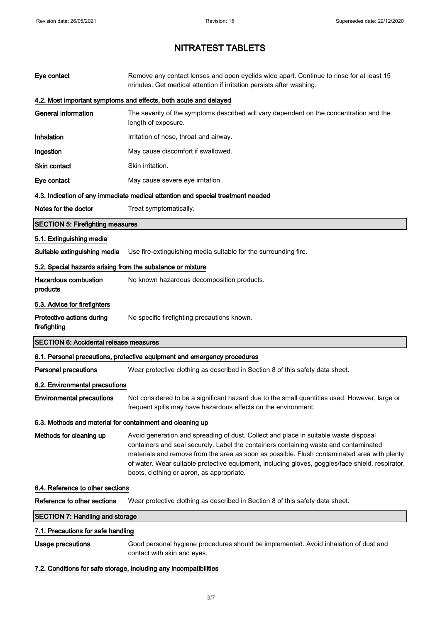| Eye contact                                                | Remove any contact lenses and open eyelids wide apart. Continue to rinse for at least 15<br>minutes. Get medical attention if irritation persists after washing.                                                                                                                                                                                                                                                             |
|------------------------------------------------------------|------------------------------------------------------------------------------------------------------------------------------------------------------------------------------------------------------------------------------------------------------------------------------------------------------------------------------------------------------------------------------------------------------------------------------|
|                                                            | 4.2. Most important symptoms and effects, both acute and delayed                                                                                                                                                                                                                                                                                                                                                             |
| <b>General information</b>                                 | The severity of the symptoms described will vary dependent on the concentration and the<br>length of exposure.                                                                                                                                                                                                                                                                                                               |
| Inhalation                                                 | Irritation of nose, throat and airway.                                                                                                                                                                                                                                                                                                                                                                                       |
| Ingestion                                                  | May cause discomfort if swallowed.                                                                                                                                                                                                                                                                                                                                                                                           |
| <b>Skin contact</b>                                        | Skin irritation.                                                                                                                                                                                                                                                                                                                                                                                                             |
| Eye contact                                                | May cause severe eye irritation.                                                                                                                                                                                                                                                                                                                                                                                             |
|                                                            | 4.3. Indication of any immediate medical attention and special treatment needed                                                                                                                                                                                                                                                                                                                                              |
| Notes for the doctor                                       | Treat symptomatically.                                                                                                                                                                                                                                                                                                                                                                                                       |
| <b>SECTION 5: Firefighting measures</b>                    |                                                                                                                                                                                                                                                                                                                                                                                                                              |
| 5.1. Extinguishing media                                   |                                                                                                                                                                                                                                                                                                                                                                                                                              |
| Suitable extinguishing media                               | Use fire-extinguishing media suitable for the surrounding fire.                                                                                                                                                                                                                                                                                                                                                              |
| 5.2. Special hazards arising from the substance or mixture |                                                                                                                                                                                                                                                                                                                                                                                                                              |
| <b>Hazardous combustion</b><br>products                    | No known hazardous decomposition products.                                                                                                                                                                                                                                                                                                                                                                                   |
| 5.3. Advice for firefighters                               |                                                                                                                                                                                                                                                                                                                                                                                                                              |
| Protective actions during<br>firefighting                  | No specific firefighting precautions known.                                                                                                                                                                                                                                                                                                                                                                                  |
| <b>SECTION 6: Accidental release measures</b>              |                                                                                                                                                                                                                                                                                                                                                                                                                              |
|                                                            | 6.1. Personal precautions, protective equipment and emergency procedures                                                                                                                                                                                                                                                                                                                                                     |
| <b>Personal precautions</b>                                | Wear protective clothing as described in Section 8 of this safety data sheet.                                                                                                                                                                                                                                                                                                                                                |
| 6.2. Environmental precautions                             |                                                                                                                                                                                                                                                                                                                                                                                                                              |
| <b>Environmental precautions</b>                           | Not considered to be a significant hazard due to the small quantities used. However, large or<br>frequent spills may have hazardous effects on the environment.                                                                                                                                                                                                                                                              |
| 6.3. Methods and material for containment and cleaning up  |                                                                                                                                                                                                                                                                                                                                                                                                                              |
| Methods for cleaning up                                    | Avoid generation and spreading of dust. Collect and place in suitable waste disposal<br>containers and seal securely. Label the containers containing waste and contaminated<br>materials and remove from the area as soon as possible. Flush contaminated area with plenty<br>of water. Wear suitable protective equipment, including gloves, goggles/face shield, respirator,<br>boots, clothing or apron, as appropriate. |
| 6.4. Reference to other sections                           |                                                                                                                                                                                                                                                                                                                                                                                                                              |
| Reference to other sections                                | Wear protective clothing as described in Section 8 of this safety data sheet.                                                                                                                                                                                                                                                                                                                                                |
| <b>SECTION 7: Handling and storage</b>                     |                                                                                                                                                                                                                                                                                                                                                                                                                              |
| 7.1. Precautions for safe handling                         |                                                                                                                                                                                                                                                                                                                                                                                                                              |
| Usage precautions                                          | Good personal hygiene procedures should be implemented. Avoid inhalation of dust and<br>contact with skin and eyes.                                                                                                                                                                                                                                                                                                          |
|                                                            | 7.2. Conditions for safe storage, including any incompatibilities                                                                                                                                                                                                                                                                                                                                                            |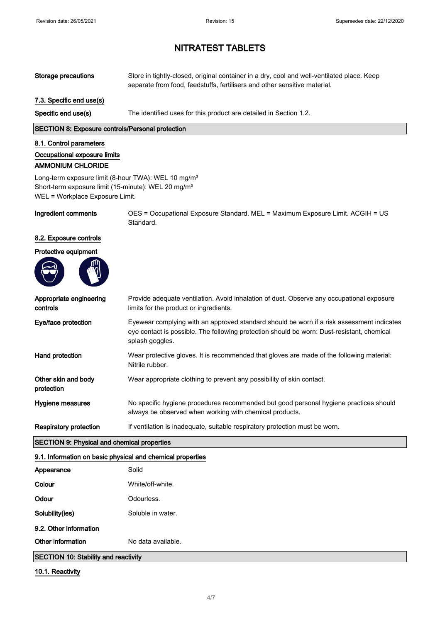| <b>Storage precautions</b>                                                                                                                                            | Store in tightly-closed, original container in a dry, cool and well-ventilated place. Keep<br>separate from food, feedstuffs, fertilisers and other sensitive material.                                    |
|-----------------------------------------------------------------------------------------------------------------------------------------------------------------------|------------------------------------------------------------------------------------------------------------------------------------------------------------------------------------------------------------|
| 7.3. Specific end use(s)                                                                                                                                              |                                                                                                                                                                                                            |
| Specific end use(s)                                                                                                                                                   | The identified uses for this product are detailed in Section 1.2.                                                                                                                                          |
| <b>SECTION 8: Exposure controls/Personal protection</b>                                                                                                               |                                                                                                                                                                                                            |
| 8.1. Control parameters<br>Occupational exposure limits<br><b>AMMONIUM CHLORIDE</b>                                                                                   |                                                                                                                                                                                                            |
| Long-term exposure limit (8-hour TWA): WEL 10 mg/m <sup>3</sup><br>Short-term exposure limit (15-minute): WEL 20 mg/m <sup>3</sup><br>WEL = Workplace Exposure Limit. |                                                                                                                                                                                                            |
| Ingredient comments                                                                                                                                                   | OES = Occupational Exposure Standard. MEL = Maximum Exposure Limit. ACGIH = US<br>Standard.                                                                                                                |
| 8.2. Exposure controls                                                                                                                                                |                                                                                                                                                                                                            |
| Protective equipment                                                                                                                                                  |                                                                                                                                                                                                            |
|                                                                                                                                                                       |                                                                                                                                                                                                            |
| Appropriate engineering<br>controls                                                                                                                                   | Provide adequate ventilation. Avoid inhalation of dust. Observe any occupational exposure<br>limits for the product or ingredients.                                                                        |
| Eye/face protection                                                                                                                                                   | Eyewear complying with an approved standard should be worn if a risk assessment indicates<br>eye contact is possible. The following protection should be worn: Dust-resistant, chemical<br>splash goggles. |
| Hand protection                                                                                                                                                       | Wear protective gloves. It is recommended that gloves are made of the following material:<br>Nitrile rubber.                                                                                               |
| Other skin and body<br>protection                                                                                                                                     | Wear appropriate clothing to prevent any possibility of skin contact.                                                                                                                                      |
| <b>Hygiene measures</b>                                                                                                                                               | No specific hygiene procedures recommended but good personal hygiene practices should<br>always be observed when working with chemical products.                                                           |
| <b>Respiratory protection</b>                                                                                                                                         | If ventilation is inadequate, suitable respiratory protection must be worn.                                                                                                                                |
| <b>SECTION 9: Physical and chemical properties</b>                                                                                                                    |                                                                                                                                                                                                            |
| 9.1. Information on basic physical and chemical properties                                                                                                            |                                                                                                                                                                                                            |
| Appearance                                                                                                                                                            | Solid                                                                                                                                                                                                      |
| Colour                                                                                                                                                                | White/off-white.                                                                                                                                                                                           |
| Odour                                                                                                                                                                 | Odourless.                                                                                                                                                                                                 |
| Solubility(ies)                                                                                                                                                       | Soluble in water.                                                                                                                                                                                          |
| 9.2. Other information                                                                                                                                                |                                                                                                                                                                                                            |
| Other information                                                                                                                                                     | No data available.                                                                                                                                                                                         |
| <b>SECTION 10: Stability and reactivity</b>                                                                                                                           |                                                                                                                                                                                                            |

10.1. Reactivity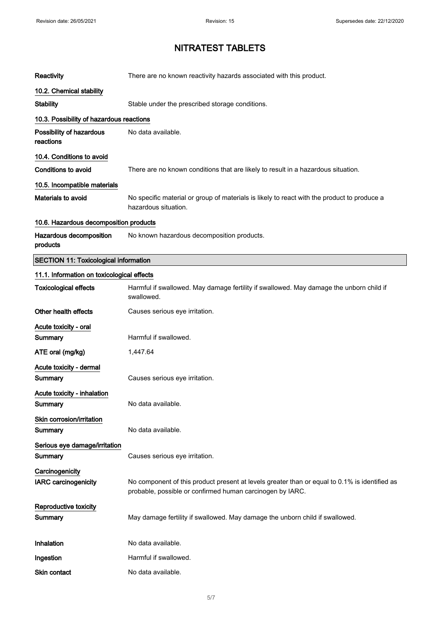| Reactivity                                     | There are no known reactivity hazards associated with this product.                                                                                        |
|------------------------------------------------|------------------------------------------------------------------------------------------------------------------------------------------------------------|
| 10.2. Chemical stability                       |                                                                                                                                                            |
| <b>Stability</b>                               | Stable under the prescribed storage conditions.                                                                                                            |
| 10.3. Possibility of hazardous reactions       |                                                                                                                                                            |
| Possibility of hazardous<br>reactions          | No data available.                                                                                                                                         |
| 10.4. Conditions to avoid                      |                                                                                                                                                            |
| Conditions to avoid                            | There are no known conditions that are likely to result in a hazardous situation.                                                                          |
| 10.5. Incompatible materials                   |                                                                                                                                                            |
| Materials to avoid                             | No specific material or group of materials is likely to react with the product to produce a<br>hazardous situation.                                        |
| 10.6. Hazardous decomposition products         |                                                                                                                                                            |
| Hazardous decomposition<br>products            | No known hazardous decomposition products.                                                                                                                 |
| <b>SECTION 11: Toxicological information</b>   |                                                                                                                                                            |
| 11.1. Information on toxicological effects     |                                                                                                                                                            |
| <b>Toxicological effects</b>                   | Harmful if swallowed. May damage fertility if swallowed. May damage the unborn child if<br>swallowed.                                                      |
| Other health effects                           | Causes serious eye irritation.                                                                                                                             |
| Acute toxicity - oral                          |                                                                                                                                                            |
| Summary                                        | Harmful if swallowed.                                                                                                                                      |
| ATE oral (mg/kg)                               | 1,447.64                                                                                                                                                   |
| Acute toxicity - dermal<br>Summary             | Causes serious eye irritation.                                                                                                                             |
| Acute toxicity - inhalation<br>Summary         | No data available.                                                                                                                                         |
| Skin corrosion/irritation<br>Summary           | No data available.                                                                                                                                         |
| Serious eye damage/irritation                  |                                                                                                                                                            |
| Summary                                        | Causes serious eye irritation.                                                                                                                             |
| Carcinogenicity<br><b>IARC</b> carcinogenicity | No component of this product present at levels greater than or equal to 0.1% is identified as<br>probable, possible or confirmed human carcinogen by IARC. |
| Reproductive toxicity<br>Summary               | May damage fertility if swallowed. May damage the unborn child if swallowed.                                                                               |
| Inhalation                                     | No data available.                                                                                                                                         |
| Ingestion                                      | Harmful if swallowed.                                                                                                                                      |
| Skin contact                                   | No data available.                                                                                                                                         |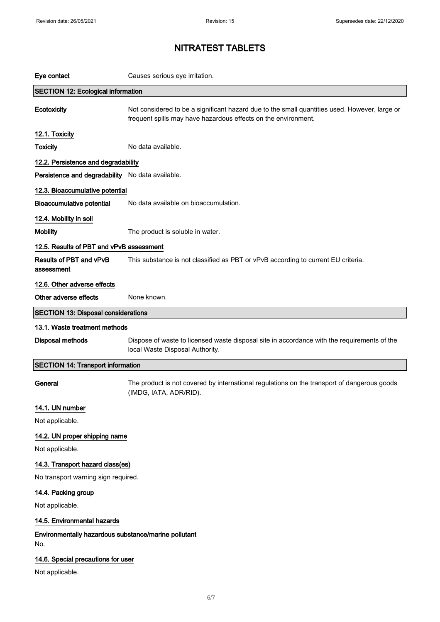| Eye contact                                                 | Causes serious eye irritation.                                                                                                                                  |
|-------------------------------------------------------------|-----------------------------------------------------------------------------------------------------------------------------------------------------------------|
| <b>SECTION 12: Ecological information</b>                   |                                                                                                                                                                 |
| Ecotoxicity                                                 | Not considered to be a significant hazard due to the small quantities used. However, large or<br>frequent spills may have hazardous effects on the environment. |
| 12.1. Toxicity                                              |                                                                                                                                                                 |
| <b>Toxicity</b>                                             | No data available.                                                                                                                                              |
| 12.2. Persistence and degradability                         |                                                                                                                                                                 |
| Persistence and degradability No data available.            |                                                                                                                                                                 |
| 12.3. Bioaccumulative potential                             |                                                                                                                                                                 |
| <b>Bioaccumulative potential</b>                            | No data available on bioaccumulation.                                                                                                                           |
| 12.4. Mobility in soil                                      |                                                                                                                                                                 |
| <b>Mobility</b>                                             | The product is soluble in water.                                                                                                                                |
| 12.5. Results of PBT and vPvB assessment                    |                                                                                                                                                                 |
| Results of PBT and vPvB<br>assessment                       | This substance is not classified as PBT or vPvB according to current EU criteria.                                                                               |
| 12.6. Other adverse effects                                 |                                                                                                                                                                 |
| Other adverse effects                                       | None known.                                                                                                                                                     |
| <b>SECTION 13: Disposal considerations</b>                  |                                                                                                                                                                 |
| 13.1. Waste treatment methods                               |                                                                                                                                                                 |
| <b>Disposal methods</b>                                     | Dispose of waste to licensed waste disposal site in accordance with the requirements of the<br>local Waste Disposal Authority.                                  |
| <b>SECTION 14: Transport information</b>                    |                                                                                                                                                                 |
| General                                                     | The product is not covered by international regulations on the transport of dangerous goods<br>(IMDG, IATA, ADR/RID).                                           |
| 14.1. UN number                                             |                                                                                                                                                                 |
| Not applicable.                                             |                                                                                                                                                                 |
| 14.2. UN proper shipping name                               |                                                                                                                                                                 |
| Not applicable.                                             |                                                                                                                                                                 |
| 14.3. Transport hazard class(es)                            |                                                                                                                                                                 |
| No transport warning sign required.                         |                                                                                                                                                                 |
| 14.4. Packing group                                         |                                                                                                                                                                 |
| Not applicable.                                             |                                                                                                                                                                 |
| 14.5. Environmental hazards                                 |                                                                                                                                                                 |
| Environmentally hazardous substance/marine pollutant<br>No. |                                                                                                                                                                 |
| 14.6. Special precautions for user<br>Not applicable.       |                                                                                                                                                                 |